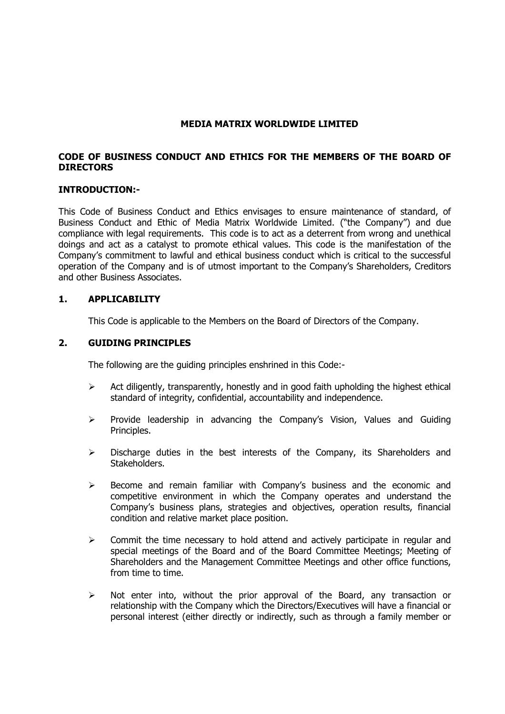### MEDIA MATRIX WORLDWIDE LIMITED

## CODE OF BUSINESS CONDUCT AND ETHICS FOR THE MEMBERS OF THE BOARD OF DIRECTORS

#### INTRODUCTION:-

This Code of Business Conduct and Ethics envisages to ensure maintenance of standard, of Business Conduct and Ethic of Media Matrix Worldwide Limited. ("the Company") and due compliance with legal requirements. This code is to act as a deterrent from wrong and unethical doings and act as a catalyst to promote ethical values. This code is the manifestation of the Company's commitment to lawful and ethical business conduct which is critical to the successful operation of the Company and is of utmost important to the Company's Shareholders, Creditors and other Business Associates.

#### 1. APPLICABILITY

This Code is applicable to the Members on the Board of Directors of the Company.

#### 2. GUIDING PRINCIPLES

The following are the guiding principles enshrined in this Code:-

- $\triangleright$  Act diligently, transparently, honestly and in good faith upholding the highest ethical standard of integrity, confidential, accountability and independence.
- $\triangleright$  Provide leadership in advancing the Company's Vision, Values and Guiding Principles.
- $\triangleright$  Discharge duties in the best interests of the Company, its Shareholders and Stakeholders.
- $\triangleright$  Become and remain familiar with Company's business and the economic and competitive environment in which the Company operates and understand the Company's business plans, strategies and objectives, operation results, financial condition and relative market place position.
- $\triangleright$  Commit the time necessary to hold attend and actively participate in regular and special meetings of the Board and of the Board Committee Meetings; Meeting of Shareholders and the Management Committee Meetings and other office functions, from time to time.
- $\triangleright$  Not enter into, without the prior approval of the Board, any transaction or relationship with the Company which the Directors/Executives will have a financial or personal interest (either directly or indirectly, such as through a family member or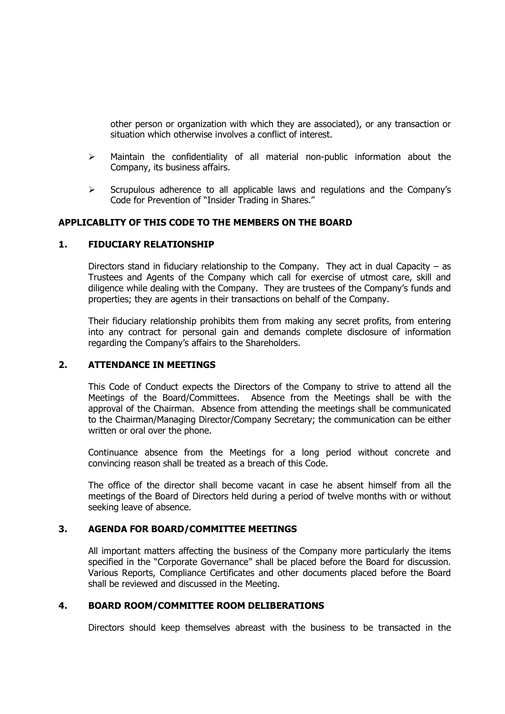other person or organization with which they are associated), or any transaction or situation which otherwise involves a conflict of interest.

- $\triangleright$  Maintain the confidentiality of all material non-public information about the Company, its business affairs.
- $\triangleright$  Scrupulous adherence to all applicable laws and regulations and the Company's Code for Prevention of "Insider Trading in Shares."

## APPLICABLITY OF THIS CODE TO THE MEMBERS ON THE BOARD

#### 1. FIDUCIARY RELATIONSHIP

Directors stand in fiduciary relationship to the Company. They act in dual Capacity – as Trustees and Agents of the Company which call for exercise of utmost care, skill and diligence while dealing with the Company. They are trustees of the Company's funds and properties; they are agents in their transactions on behalf of the Company.

Their fiduciary relationship prohibits them from making any secret profits, from entering into any contract for personal gain and demands complete disclosure of information regarding the Company's affairs to the Shareholders.

#### 2. ATTENDANCE IN MEETINGS

This Code of Conduct expects the Directors of the Company to strive to attend all the Meetings of the Board/Committees. Absence from the Meetings shall be with the approval of the Chairman. Absence from attending the meetings shall be communicated to the Chairman/Managing Director/Company Secretary; the communication can be either written or oral over the phone.

Continuance absence from the Meetings for a long period without concrete and convincing reason shall be treated as a breach of this Code.

The office of the director shall become vacant in case he absent himself from all the meetings of the Board of Directors held during a period of twelve months with or without seeking leave of absence.

#### 3. AGENDA FOR BOARD/COMMITTEE MEETINGS

All important matters affecting the business of the Company more particularly the items specified in the "Corporate Governance" shall be placed before the Board for discussion. Various Reports, Compliance Certificates and other documents placed before the Board shall be reviewed and discussed in the Meeting.

#### 4. BOARD ROOM/COMMITTEE ROOM DELIBERATIONS

Directors should keep themselves abreast with the business to be transacted in the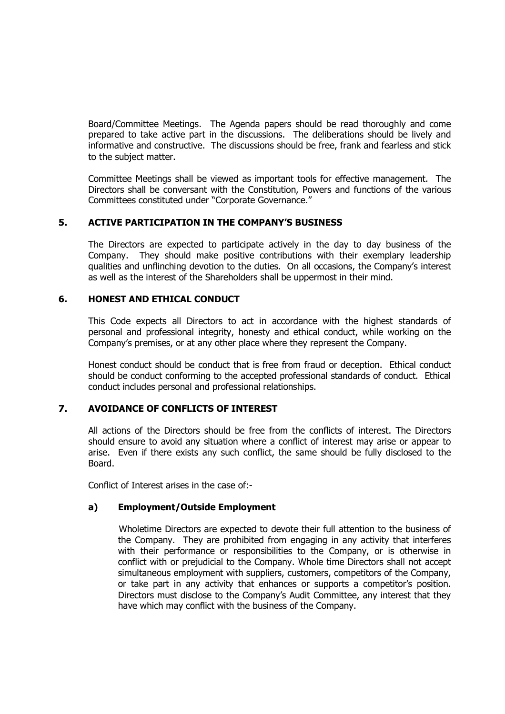Board/Committee Meetings. The Agenda papers should be read thoroughly and come prepared to take active part in the discussions. The deliberations should be lively and informative and constructive. The discussions should be free, frank and fearless and stick to the subject matter.

Committee Meetings shall be viewed as important tools for effective management. The Directors shall be conversant with the Constitution, Powers and functions of the various Committees constituted under "Corporate Governance."

## 5. ACTIVE PARTICIPATION IN THE COMPANY'S BUSINESS

The Directors are expected to participate actively in the day to day business of the Company. They should make positive contributions with their exemplary leadership qualities and unflinching devotion to the duties. On all occasions, the Company's interest as well as the interest of the Shareholders shall be uppermost in their mind.

### 6. HONEST AND ETHICAL CONDUCT

This Code expects all Directors to act in accordance with the highest standards of personal and professional integrity, honesty and ethical conduct, while working on the Company's premises, or at any other place where they represent the Company.

Honest conduct should be conduct that is free from fraud or deception. Ethical conduct should be conduct conforming to the accepted professional standards of conduct. Ethical conduct includes personal and professional relationships.

## 7. AVOIDANCE OF CONFLICTS OF INTEREST

All actions of the Directors should be free from the conflicts of interest. The Directors should ensure to avoid any situation where a conflict of interest may arise or appear to arise. Even if there exists any such conflict, the same should be fully disclosed to the Board.

Conflict of Interest arises in the case of:-

### a) Employment/Outside Employment

Wholetime Directors are expected to devote their full attention to the business of the Company. They are prohibited from engaging in any activity that interferes with their performance or responsibilities to the Company, or is otherwise in conflict with or prejudicial to the Company. Whole time Directors shall not accept simultaneous employment with suppliers, customers, competitors of the Company, or take part in any activity that enhances or supports a competitor's position. Directors must disclose to the Company's Audit Committee, any interest that they have which may conflict with the business of the Company.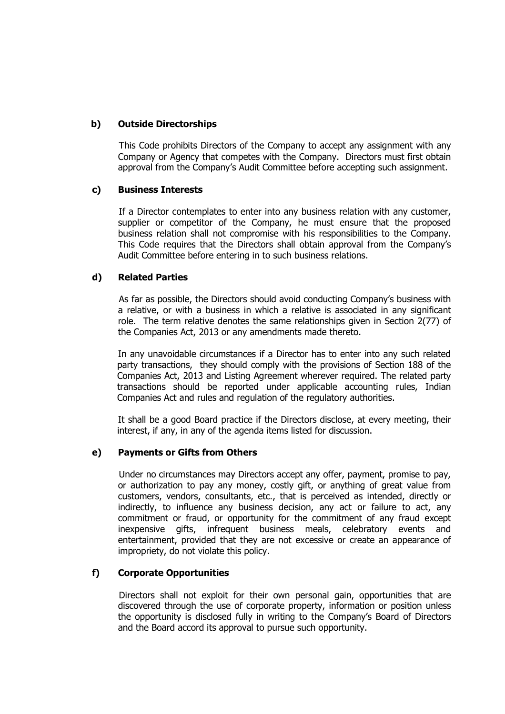## b) Outside Directorships

This Code prohibits Directors of the Company to accept any assignment with any Company or Agency that competes with the Company. Directors must first obtain approval from the Company's Audit Committee before accepting such assignment.

### c) Business Interests

If a Director contemplates to enter into any business relation with any customer, supplier or competitor of the Company, he must ensure that the proposed business relation shall not compromise with his responsibilities to the Company. This Code requires that the Directors shall obtain approval from the Company's Audit Committee before entering in to such business relations.

## d) Related Parties

As far as possible, the Directors should avoid conducting Company's business with a relative, or with a business in which a relative is associated in any significant role. The term relative denotes the same relationships given in Section 2(77) of the Companies Act, 2013 or any amendments made thereto.

In any unavoidable circumstances if a Director has to enter into any such related party transactions, they should comply with the provisions of Section 188 of the Companies Act, 2013 and Listing Agreement wherever required. The related party transactions should be reported under applicable accounting rules, Indian Companies Act and rules and regulation of the regulatory authorities.

It shall be a good Board practice if the Directors disclose, at every meeting, their interest, if any, in any of the agenda items listed for discussion.

### e) Payments or Gifts from Others

Under no circumstances may Directors accept any offer, payment, promise to pay, or authorization to pay any money, costly gift, or anything of great value from customers, vendors, consultants, etc., that is perceived as intended, directly or indirectly, to influence any business decision, any act or failure to act, any commitment or fraud, or opportunity for the commitment of any fraud except inexpensive gifts, infrequent business meals, celebratory events and entertainment, provided that they are not excessive or create an appearance of impropriety, do not violate this policy.

### f) Corporate Opportunities

Directors shall not exploit for their own personal gain, opportunities that are discovered through the use of corporate property, information or position unless the opportunity is disclosed fully in writing to the Company's Board of Directors and the Board accord its approval to pursue such opportunity.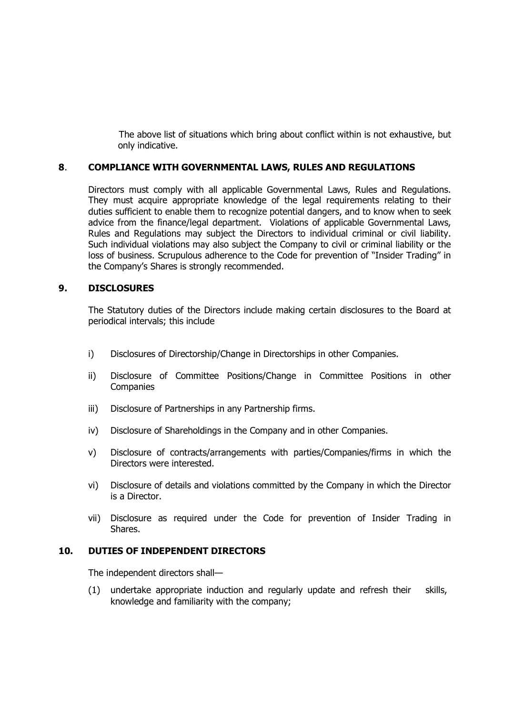The above list of situations which bring about conflict within is not exhaustive, but only indicative.

### 8. COMPLIANCE WITH GOVERNMENTAL LAWS, RULES AND REGULATIONS

Directors must comply with all applicable Governmental Laws, Rules and Regulations. They must acquire appropriate knowledge of the legal requirements relating to their duties sufficient to enable them to recognize potential dangers, and to know when to seek advice from the finance/legal department. Violations of applicable Governmental Laws, Rules and Regulations may subject the Directors to individual criminal or civil liability. Such individual violations may also subject the Company to civil or criminal liability or the loss of business. Scrupulous adherence to the Code for prevention of "Insider Trading" in the Company's Shares is strongly recommended.

### 9. DISCLOSURES

The Statutory duties of the Directors include making certain disclosures to the Board at periodical intervals; this include

- i) Disclosures of Directorship/Change in Directorships in other Companies.
- ii) Disclosure of Committee Positions/Change in Committee Positions in other Companies
- iii) Disclosure of Partnerships in any Partnership firms.
- iv) Disclosure of Shareholdings in the Company and in other Companies.
- v) Disclosure of contracts/arrangements with parties/Companies/firms in which the Directors were interested.
- vi) Disclosure of details and violations committed by the Company in which the Director is a Director.
- vii) Disclosure as required under the Code for prevention of Insider Trading in Shares.

#### 10. DUTIES OF INDEPENDENT DIRECTORS

The independent directors shall—

(1) undertake appropriate induction and regularly update and refresh their skills, knowledge and familiarity with the company;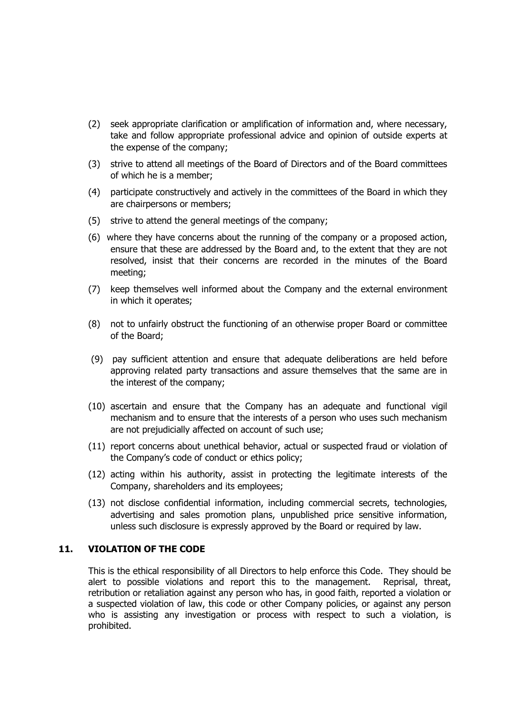- (2) seek appropriate clarification or amplification of information and, where necessary, take and follow appropriate professional advice and opinion of outside experts at the expense of the company;
- (3) strive to attend all meetings of the Board of Directors and of the Board committees of which he is a member;
- (4) participate constructively and actively in the committees of the Board in which they are chairpersons or members;
- (5) strive to attend the general meetings of the company;
- (6) where they have concerns about the running of the company or a proposed action, ensure that these are addressed by the Board and, to the extent that they are not resolved, insist that their concerns are recorded in the minutes of the Board meeting;
- (7) keep themselves well informed about the Company and the external environment in which it operates;
- (8) not to unfairly obstruct the functioning of an otherwise proper Board or committee of the Board;
- (9) pay sufficient attention and ensure that adequate deliberations are held before approving related party transactions and assure themselves that the same are in the interest of the company;
- (10) ascertain and ensure that the Company has an adequate and functional vigil mechanism and to ensure that the interests of a person who uses such mechanism are not prejudicially affected on account of such use;
- (11) report concerns about unethical behavior, actual or suspected fraud or violation of the Company's code of conduct or ethics policy;
- (12) acting within his authority, assist in protecting the legitimate interests of the Company, shareholders and its employees;
- (13) not disclose confidential information, including commercial secrets, technologies, advertising and sales promotion plans, unpublished price sensitive information, unless such disclosure is expressly approved by the Board or required by law.

#### 11. VIOLATION OF THE CODE

This is the ethical responsibility of all Directors to help enforce this Code. They should be alert to possible violations and report this to the management. Reprisal, threat, retribution or retaliation against any person who has, in good faith, reported a violation or a suspected violation of law, this code or other Company policies, or against any person who is assisting any investigation or process with respect to such a violation, is prohibited.